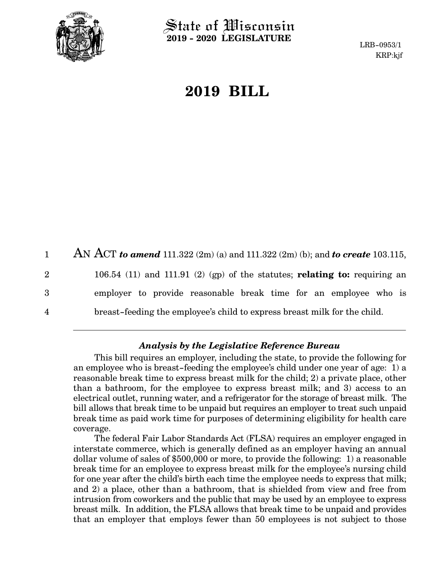

State of Wisconsin **2019 - 2020 LEGISLATURE**

LRB-0953/1 KRP:kjf

# **2019 BILL**

|             | AN ACT to amend 111.322 (2m) (a) and 111.322 (2m) (b); and to create 103.115, |
|-------------|-------------------------------------------------------------------------------|
| $2^{\circ}$ | 106.54 (11) and 111.91 (2) (gp) of the statutes; relating to: requiring an    |
| 3           | employer to provide reasonable break time for an employee who is              |
| 4           | breast-feeding the employee's child to express breast milk for the child.     |

# *Analysis by the Legislative Reference Bureau*

This bill requires an employer, including the state, to provide the following for an employee who is breast-feeding the employee's child under one year of age: 1) a reasonable break time to express breast milk for the child; 2) a private place, other than a bathroom, for the employee to express breast milk; and 3) access to an electrical outlet, running water, and a refrigerator for the storage of breast milk. The bill allows that break time to be unpaid but requires an employer to treat such unpaid break time as paid work time for purposes of determining eligibility for health care coverage.

The federal Fair Labor Standards Act (FLSA) requires an employer engaged in interstate commerce, which is generally defined as an employer having an annual dollar volume of sales of \$500,000 or more, to provide the following: 1) a reasonable break time for an employee to express breast milk for the employee's nursing child for one year after the child's birth each time the employee needs to express that milk; and 2) a place, other than a bathroom, that is shielded from view and free from intrusion from coworkers and the public that may be used by an employee to express breast milk. In addition, the FLSA allows that break time to be unpaid and provides that an employer that employs fewer than 50 employees is not subject to those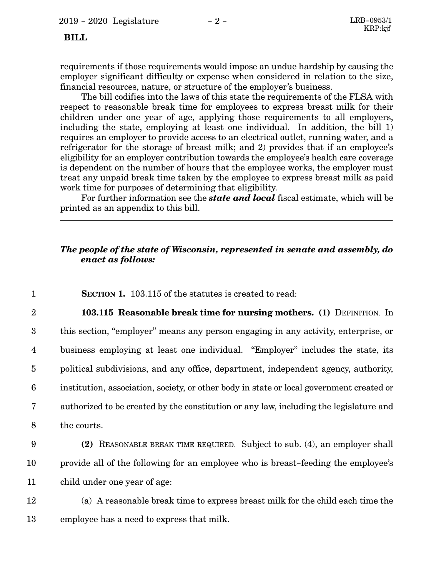### **BILL**

requirements if those requirements would impose an undue hardship by causing the employer significant difficulty or expense when considered in relation to the size, financial resources, nature, or structure of the employer's business.

The bill codifies into the laws of this state the requirements of the FLSA with respect to reasonable break time for employees to express breast milk for their children under one year of age, applying those requirements to all employers, including the state, employing at least one individual. In addition, the bill 1) requires an employer to provide access to an electrical outlet, running water, and a refrigerator for the storage of breast milk; and 2) provides that if an employee's eligibility for an employer contribution towards the employee's health care coverage is dependent on the number of hours that the employee works, the employer must treat any unpaid break time taken by the employee to express breast milk as paid work time for purposes of determining that eligibility.

For further information see the *state and local* fiscal estimate, which will be printed as an appendix to this bill.

## *The people of the state of Wisconsin, represented in senate and assembly, do enact as follows:*

| $\mathbf 1$             | <b>SECTION 1.</b> 103.115 of the statutes is created to read:                            |
|-------------------------|------------------------------------------------------------------------------------------|
| $\overline{2}$          | 103.115 Reasonable break time for nursing mothers. (1) DEFINITION. In                    |
| 3                       | this section, "employer" means any person engaging in any activity, enterprise, or       |
| $\overline{\mathbf{4}}$ | business employing at least one individual. "Employer" includes the state, its           |
| $\overline{5}$          | political subdivisions, and any office, department, independent agency, authority,       |
| $6\phantom{1}6$         | institution, association, society, or other body in state or local government created or |
| $\overline{7}$          | authorized to be created by the constitution or any law, including the legislature and   |
| 8                       | the courts.                                                                              |
| 9                       | (2) REASONABLE BREAK TIME REQUIRED. Subject to sub. (4), an employer shall               |
| 10                      | provide all of the following for an employee who is breast-feeding the employee's        |
| 11                      | child under one year of age:                                                             |
| 12                      | (a) A reasonable break time to express breast milk for the child each time the           |
| 13                      | employee has a need to express that milk.                                                |

 $\frac{1}{2}$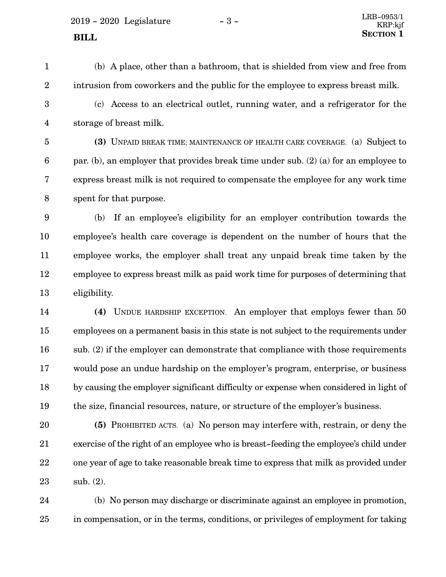$2019 - 2020$  Legislature  $-3 -$ 

- 
- 1

(b) A place, other than a bathroom, that is shielded from view and free from intrusion from coworkers and the public for the employee to express breast milk.

2

(c) Access to an electrical outlet, running water, and a refrigerator for the storage of breast milk. 3 4

**(3)** UNPAID BREAK TIME; MAINTENANCE OF HEALTH CARE COVERAGE. (a) Subject to par. (b), an employer that provides break time under sub. (2) (a) for an employee to express breast milk is not required to compensate the employee for any work time spent for that purpose. 5 6 7 8

(b) If an employee's eligibility for an employer contribution towards the employee's health care coverage is dependent on the number of hours that the employee works, the employer shall treat any unpaid break time taken by the employee to express breast milk as paid work time for purposes of determining that eligibility. 9 10 11 12 13

**(4)** UNDUE HARDSHIP EXCEPTION. An employer that employs fewer than 50 employees on a permanent basis in this state is not subject to the requirements under sub. (2) if the employer can demonstrate that compliance with those requirements would pose an undue hardship on the employer's program, enterprise, or business by causing the employer significant difficulty or expense when considered in light of the size, financial resources, nature, or structure of the employer's business. 14 15 16 17 18 19

**(5)** PROHIBITED ACTS. (a) No person may interfere with, restrain, or deny the exercise of the right of an employee who is breast-feeding the employee's child under one year of age to take reasonable break time to express that milk as provided under sub. (2). 20 21 22 23

(b) No person may discharge or discriminate against an employee in promotion, in compensation, or in the terms, conditions, or privileges of employment for taking 24 25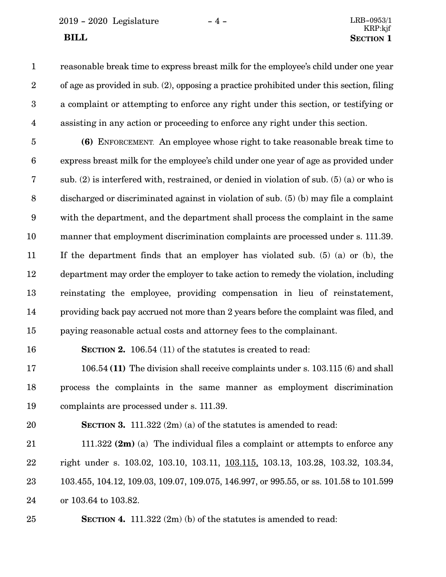2019 - 2020 Legislature - 4 - LRB-0953/1

reasonable break time to express breast milk for the employee's child under one year of age as provided in sub. (2), opposing a practice prohibited under this section, filing a complaint or attempting to enforce any right under this section, or testifying or assisting in any action or proceeding to enforce any right under this section. 1 2 3 4

**(6)** ENFORCEMENT. An employee whose right to take reasonable break time to express breast milk for the employee's child under one year of age as provided under sub. (2) is interfered with, restrained, or denied in violation of sub. (5) (a) or who is discharged or discriminated against in violation of sub. (5) (b) may file a complaint with the department, and the department shall process the complaint in the same manner that employment discrimination complaints are processed under s. 111.39. If the department finds that an employer has violated sub. (5) (a) or (b), the department may order the employer to take action to remedy the violation, including reinstating the employee, providing compensation in lieu of reinstatement, providing back pay accrued not more than 2 years before the complaint was filed, and paying reasonable actual costs and attorney fees to the complainant. 5 6 7 8 9 10 11 12 13 14 15

#### 16

**SECTION 2.** 106.54 (11) of the statutes is created to read:

106.54 **(11)** The division shall receive complaints under s. 103.115 (6) and shall process the complaints in the same manner as employment discrimination complaints are processed under s. 111.39. 17 18 19

20

**SECTION 3.** 111.322 (2m) (a) of the statutes is amended to read:

111.322 **(2m)** (a) The individual files a complaint or attempts to enforce any right under s. 103.02, 103.10, 103.11, 103.115, 103.13, 103.28, 103.32, 103.34, 103.455, 104.12, 109.03, 109.07, 109.075, 146.997, or 995.55, or ss. 101.58 to 101.599 or 103.64 to 103.82. 21 22 23 24

#### 25

**SECTION 4.** 111.322 (2m) (b) of the statutes is amended to read: